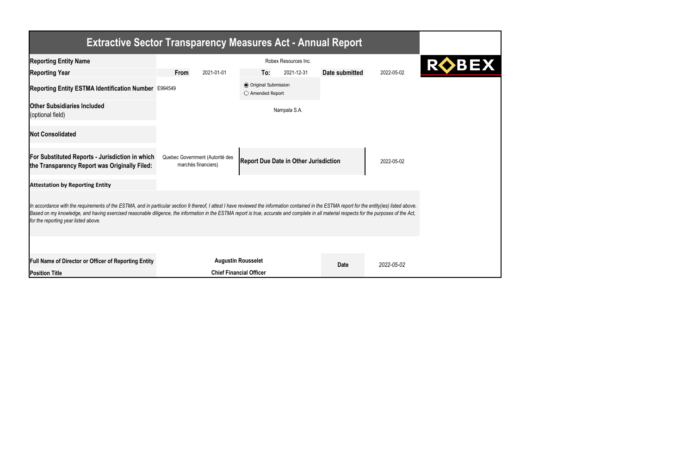| <b>Extractive Sector Transparency Measures Act - Annual Report</b>                                                                                                                                                                                                                                                                                                                                                                    |                                                                                                                      |                                                  |            |                |            |  |  |
|---------------------------------------------------------------------------------------------------------------------------------------------------------------------------------------------------------------------------------------------------------------------------------------------------------------------------------------------------------------------------------------------------------------------------------------|----------------------------------------------------------------------------------------------------------------------|--------------------------------------------------|------------|----------------|------------|--|--|
| <b>Reporting Entity Name</b>                                                                                                                                                                                                                                                                                                                                                                                                          | Robex Resources Inc.                                                                                                 |                                                  |            |                |            |  |  |
| <b>Reporting Year</b>                                                                                                                                                                                                                                                                                                                                                                                                                 | 2021-01-01<br>From                                                                                                   | To:                                              | 2021-12-31 | Date submitted | 2022-05-02 |  |  |
| Reporting Entity ESTMA Identification Number E994549                                                                                                                                                                                                                                                                                                                                                                                  |                                                                                                                      | <b>◎</b> Original Submission<br>O Amended Report |            |                |            |  |  |
| <b>Other Subsidiaries Included</b><br>(optional field)                                                                                                                                                                                                                                                                                                                                                                                | Nampala S.A.                                                                                                         |                                                  |            |                |            |  |  |
| <b>Not Consolidated</b>                                                                                                                                                                                                                                                                                                                                                                                                               |                                                                                                                      |                                                  |            |                |            |  |  |
| <b>For Substituted Reports - Jurisdiction in which</b><br>the Transparency Report was Originally Filed:                                                                                                                                                                                                                                                                                                                               | Quebec Government (Autorité des<br><b>Report Due Date in Other Jurisdiction</b><br>2022-05-02<br>marchés financiers) |                                                  |            |                |            |  |  |
| <b>Attestation by Reporting Entity</b>                                                                                                                                                                                                                                                                                                                                                                                                |                                                                                                                      |                                                  |            |                |            |  |  |
| In accordance with the requirements of the ESTMA, and in particular section 9 thereof, I attest I have reviewed the information contained in the ESTMA report for the entity(ies) listed above.<br>Based on my knowledge, and having exercised reasonable diligence, the information in the ESTMA report is true, accurate and complete in all material respects for the purposes of the Act,<br>for the reporting year listed above. |                                                                                                                      |                                                  |            |                |            |  |  |
|                                                                                                                                                                                                                                                                                                                                                                                                                                       |                                                                                                                      |                                                  |            |                |            |  |  |
| <b>Full Name of Director or Officer of Reporting Entity</b>                                                                                                                                                                                                                                                                                                                                                                           | <b>Augustin Rousselet</b>                                                                                            |                                                  |            | <b>Date</b>    | 2022-05-02 |  |  |
| <b>Position Title</b>                                                                                                                                                                                                                                                                                                                                                                                                                 | <b>Chief Financial Officer</b>                                                                                       |                                                  |            |                |            |  |  |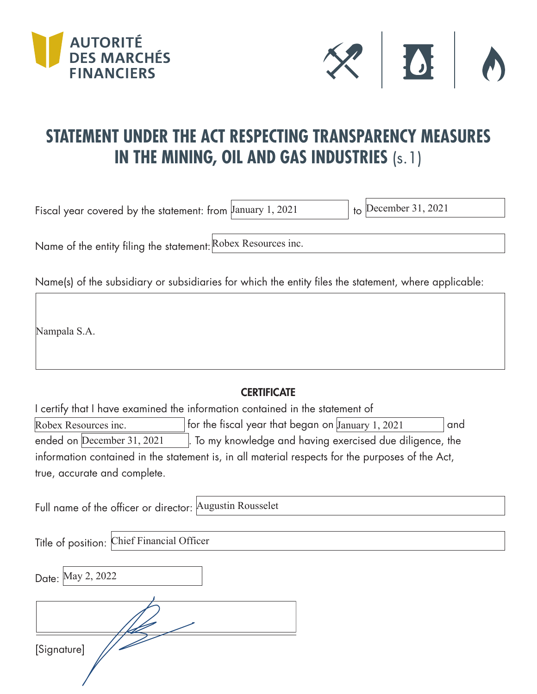



## **STATEMENT UNDER THE ACT RESPECTING TRANSPARENCY MEASURES IN THE MINING, OIL AND GAS INDUSTRIES** (s.1)

Fiscal year covered by the statement: from  $\frac{1}{2}$  January 1, 2021

 $\overline{b}$  December 31, 2021

Name of the entity filing the statement: Robex Resources inc.

Name(s) of the subsidiary or subsidiaries for which the entity files the statement, where applicable:

Nampala S.A.

## **CERTIFICATE**

I certify that I have examined the information contained in the statement of Robex Resources inc.  $\qquad \qquad |$  for the fiscal year that began on January 1, 2021  $\qquad \qquad |$  and . To my knowledge and having exercised due diligence, the information contained in the statement is, in all material respects for the purposes of the Act, true, accurate and complete. ended on December 31, 2021

Full name of the officer or director: Augustin Rousselet

Title of position: Chief Financial Officer

Date: May 2, 2022

[Signature]